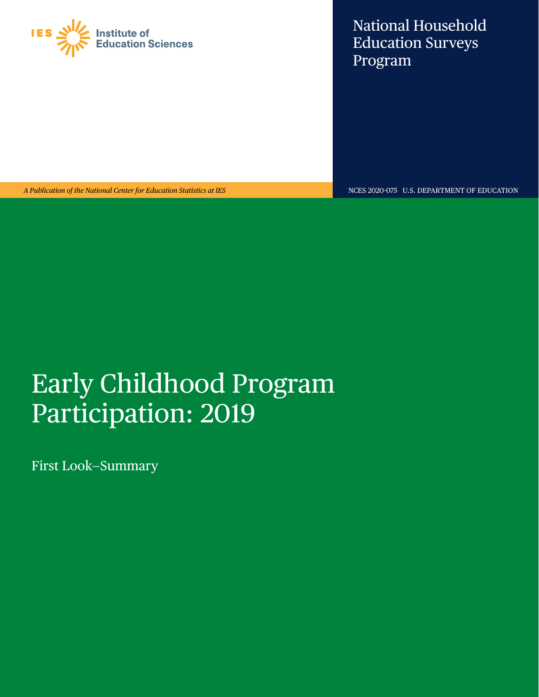

National Household Education Surveys Program

*A Publication of the National Center for Education Statistics at IES*

NCES 2020-075 U.S. DEPARTMENT OF EDUCATION

# Early Childhood Program Participation: 2019

First Look—Summary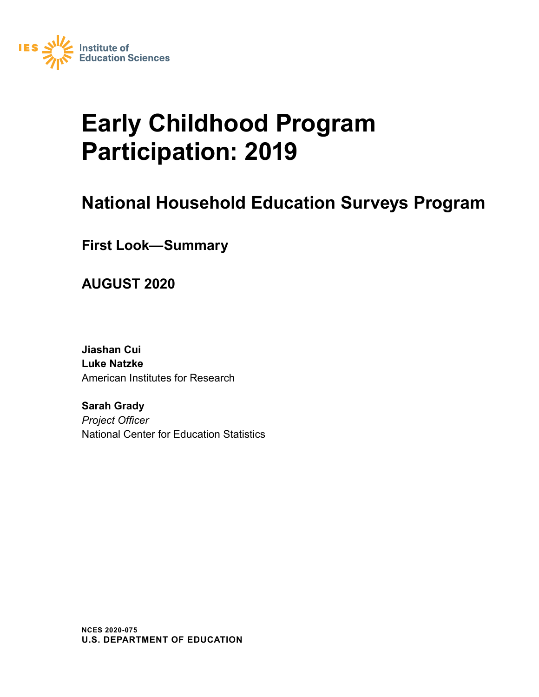

## **Early Childhood Program Participation: 2019**

## **National Household Education Surveys Program**

**First Look—Summary**

**AUGUST 2020**

**Jiashan Cui Luke Natzke**  American Institutes for Research

**Sarah Grady** *Project Officer* National Center for Education Statistics

**NCES 2020-075 U.S. DEPARTMENT OF EDUCATION**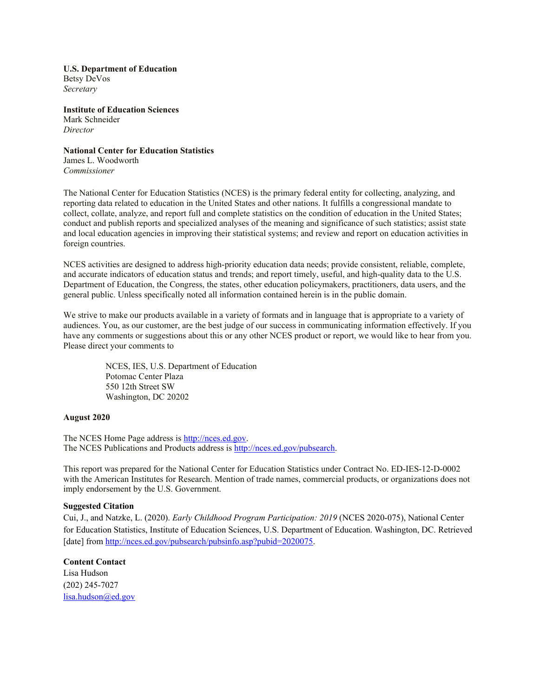**U.S. Department of Education**

Betsy DeVos *Secretary*

**Institute of Education Sciences** Mark Schneider *Director*

**National Center for Education Statistics**

James L. Woodworth *Commissioner*

The National Center for Education Statistics (NCES) is the primary federal entity for collecting, analyzing, and reporting data related to education in the United States and other nations. It fulfills a congressional mandate to collect, collate, analyze, and report full and complete statistics on the condition of education in the United States; conduct and publish reports and specialized analyses of the meaning and significance of such statistics; assist state and local education agencies in improving their statistical systems; and review and report on education activities in foreign countries.

NCES activities are designed to address high-priority education data needs; provide consistent, reliable, complete, and accurate indicators of education status and trends; and report timely, useful, and high-quality data to the U.S. Department of Education, the Congress, the states, other education policymakers, practitioners, data users, and the general public. Unless specifically noted all information contained herein is in the public domain.

We strive to make our products available in a variety of formats and in language that is appropriate to a variety of audiences. You, as our customer, are the best judge of our success in communicating information effectively. If you have any comments or suggestions about this or any other NCES product or report, we would like to hear from you. Please direct your comments to

> NCES, IES, U.S. Department of Education Potomac Center Plaza 550 12th Street SW Washington, DC 20202

#### **August 2020**

The NCES Home Page address i[s http://nces.ed.gov.](http://nces.ed.gov/) The NCES Publications and Products address is [http://nces.ed.gov/pubsearch.](http://nces.ed.gov/pubsearch)

This report was prepared for the National Center for Education Statistics under Contract No. ED-IES-12-D-0002 with the American Institutes for Research. Mention of trade names, commercial products, or organizations does not imply endorsement by the U.S. Government.

#### **Suggested Citation**

Cui, J., and Natzke, L. (2020). *Early Childhood Program Participation: 2019* (NCES 2020-075), National Center for Education Statistics, Institute of Education Sciences, U.S. Department of Education. Washington, DC. Retrieved [date] from [http://nces.ed.gov/pubsearch/pubsinfo.asp?pubid=2020075.](http://nces.ed.gov/pubsearch/pubsinfo.asp?pubid=2020075)

**Content Contact** Lisa Hudson (202) 245-7027 [lisa.hudson@ed.gov](mailto:lisa.hudson@ed.gov)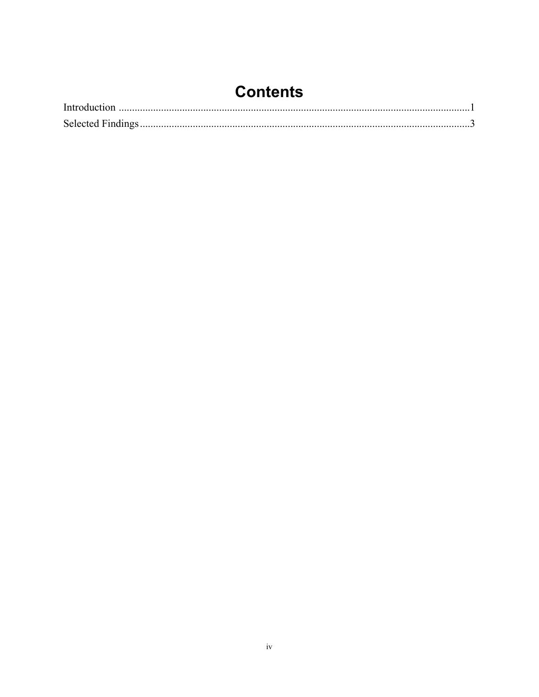| <b>Contents</b> |  |
|-----------------|--|
|                 |  |
|                 |  |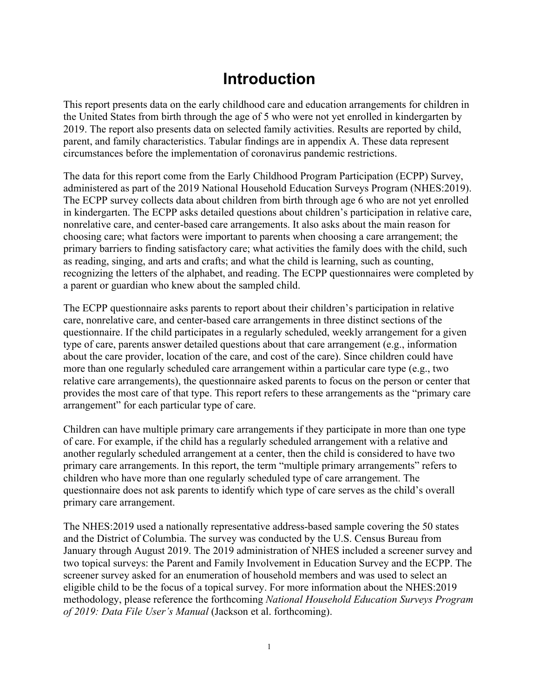### **Introduction**

<span id="page-4-0"></span>This report presents data on the early childhood care and education arrangements for children in the United States from birth through the age of 5 who were not yet enrolled in kindergarten by 2019. The report also presents data on selected family activities. Results are reported by child, parent, and family characteristics. Tabular findings are in appendix A. These data represent circumstances before the implementation of coronavirus pandemic restrictions.

The data for this report come from the Early Childhood Program Participation (ECPP) Survey, administered as part of the 2019 National Household Education Surveys Program (NHES:2019). The ECPP survey collects data about children from birth through age 6 who are not yet enrolled in kindergarten. The ECPP asks detailed questions about children's participation in relative care, nonrelative care, and center-based care arrangements. It also asks about the main reason for choosing care; what factors were important to parents when choosing a care arrangement; the primary barriers to finding satisfactory care; what activities the family does with the child, such as reading, singing, and arts and crafts; and what the child is learning, such as counting, recognizing the letters of the alphabet, and reading. The ECPP questionnaires were completed by a parent or guardian who knew about the sampled child.

The ECPP questionnaire asks parents to report about their children's participation in relative care, nonrelative care, and center-based care arrangements in three distinct sections of the questionnaire. If the child participates in a regularly scheduled, weekly arrangement for a given type of care, parents answer detailed questions about that care arrangement (e.g., information about the care provider, location of the care, and cost of the care). Since children could have more than one regularly scheduled care arrangement within a particular care type (e.g., two relative care arrangements), the questionnaire asked parents to focus on the person or center that provides the most care of that type. This report refers to these arrangements as the "primary care arrangement" for each particular type of care.

Children can have multiple primary care arrangements if they participate in more than one type of care. For example, if the child has a regularly scheduled arrangement with a relative and another regularly scheduled arrangement at a center, then the child is considered to have two primary care arrangements. In this report, the term "multiple primary arrangements" refers to children who have more than one regularly scheduled type of care arrangement. The questionnaire does not ask parents to identify which type of care serves as the child's overall primary care arrangement.

The NHES:2019 used a nationally representative address-based sample covering the 50 states and the District of Columbia. The survey was conducted by the U.S. Census Bureau from January through August 2019. The 2019 administration of NHES included a screener survey and two topical surveys: the Parent and Family Involvement in Education Survey and the ECPP. The screener survey asked for an enumeration of household members and was used to select an eligible child to be the focus of a topical survey. For more information about the NHES:2019 methodology, please reference the forthcoming *National Household Education Surveys Program of 2019: Data File User's Manual* (Jackson et al. forthcoming).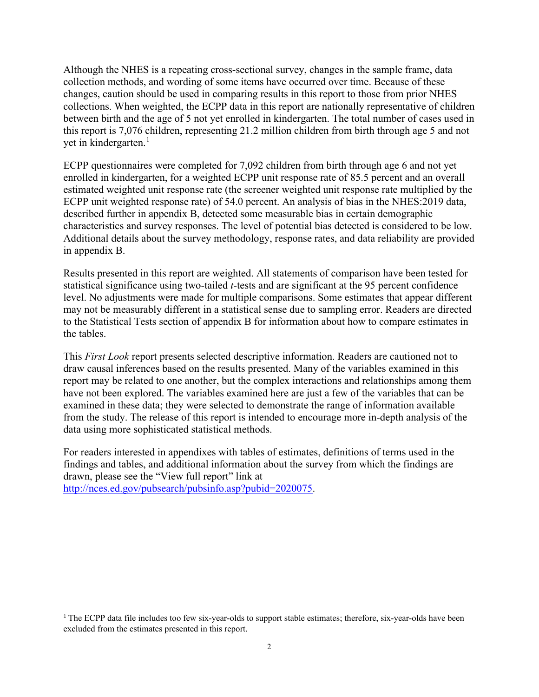Although the NHES is a repeating cross-sectional survey, changes in the sample frame, data collection methods, and wording of some items have occurred over time. Because of these changes, caution should be used in comparing results in this report to those from prior NHES collections. When weighted, the ECPP data in this report are nationally representative of children between birth and the age of 5 not yet enrolled in kindergarten. The total number of cases used in this report is 7,076 children, representing 21.2 million children from birth through age 5 and not yet in kindergarten.<sup>[1](#page-5-0)</sup>

ECPP questionnaires were completed for 7,092 children from birth through age 6 and not yet enrolled in kindergarten, for a weighted ECPP unit response rate of 85.5 percent and an overall estimated weighted unit response rate (the screener weighted unit response rate multiplied by the ECPP unit weighted response rate) of 54.0 percent. An analysis of bias in the NHES:2019 data, described further in appendix B, detected some measurable bias in certain demographic characteristics and survey responses. The level of potential bias detected is considered to be low. Additional details about the survey methodology, response rates, and data reliability are provided in appendix B.

Results presented in this report are weighted. All statements of comparison have been tested for statistical significance using two-tailed *t*-tests and are significant at the 95 percent confidence level. No adjustments were made for multiple comparisons. Some estimates that appear different may not be measurably different in a statistical sense due to sampling error. Readers are directed to the Statistical Tests section of appendix B for information about how to compare estimates in the tables.

This *First Look* report presents selected descriptive information. Readers are cautioned not to draw causal inferences based on the results presented. Many of the variables examined in this report may be related to one another, but the complex interactions and relationships among them have not been explored. The variables examined here are just a few of the variables that can be examined in these data; they were selected to demonstrate the range of information available from the study. The release of this report is intended to encourage more in-depth analysis of the data using more sophisticated statistical methods.

For readers interested in appendixes with tables of estimates, definitions of terms used in the findings and tables, and additional information about the survey from which the findings are drawn, please see the "View full report" link at [http://nces.ed.gov/pubsearch/pubsinfo.asp?pubid=2020075.](http://nces.ed.gov/pubsearch/pubsinfo.asp?pubid=2020075)

<span id="page-5-0"></span><sup>&</sup>lt;sup>1</sup> The ECPP data file includes too few six-year-olds to support stable estimates; therefore, six-year-olds have been excluded from the estimates presented in this report.